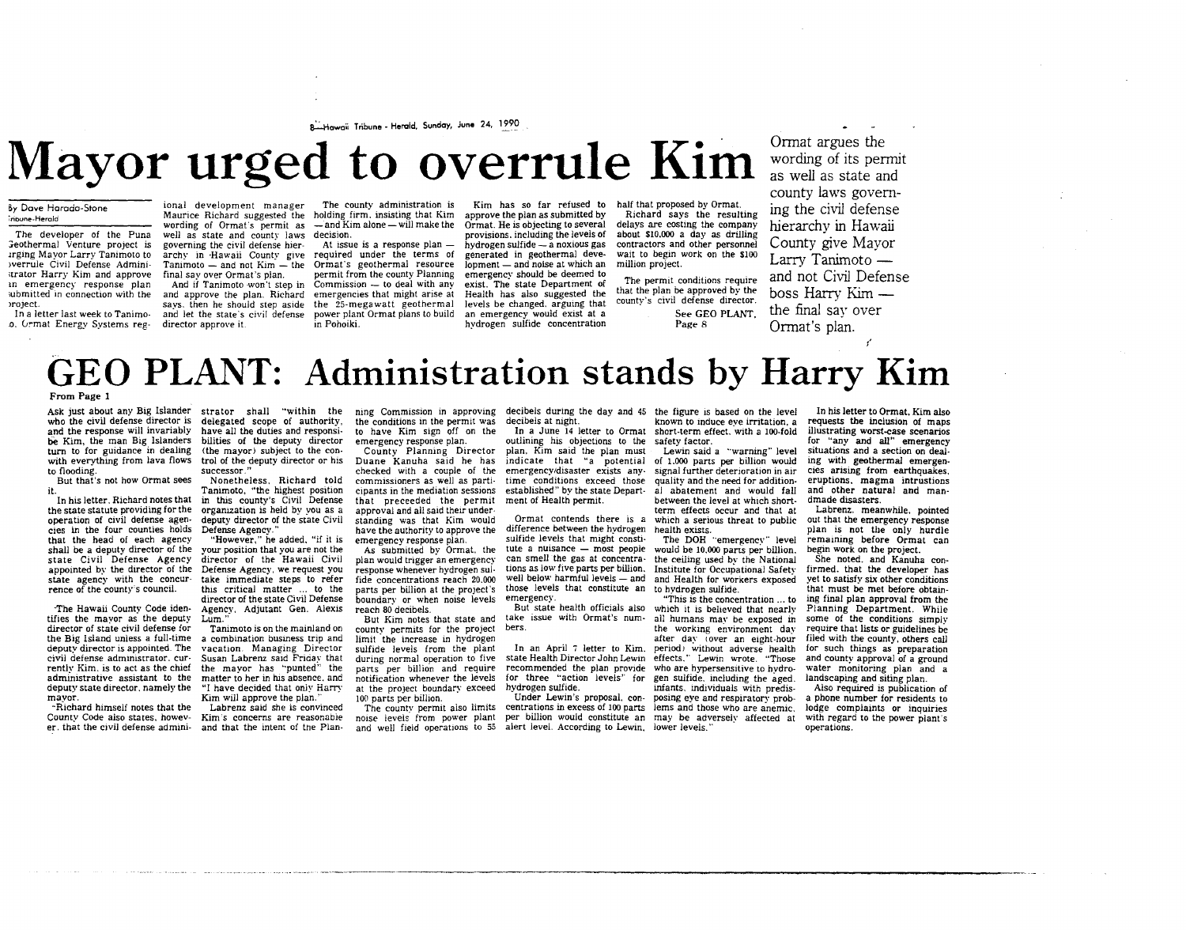8-Hawaii Tribune - Herald, Sunday, June 24, 1990

# **Mayor urged to overrule Kim and angles the Mayor Commat argues the**

#### By Dove Horodo-Stone **7noune-Heroid**

The developer of the Puna Geothermal Venture project is<br>irging Mayor Larry Tanimoto.to werrule Civil Defense Admini**ltrator Harry Kim and approve m emergency response plan ;ubmitted in connection with the**  >roject.

In a letter last week to Tanimoo. G"mat Energy Systems reg-director approve it.

ional development manager The county administration is ional development manager . The county administration is . Kim has so far refused to<br>Maurice Richard suggested the holding firm, insisting that Kim . approve the plan as submitted by wording of Ormat's permit as  $-$ and Kim alone  $-$  will make the well as state and county laws **decision.**  governing the civil defense hiergoverning the civil defense hier-<br>archy in ·Hawaii County give required under the terms of

Tanimoto - and not Kim - the Ormat's geothermal resource lopment - and noise at which an million project. final say over Ormat's plan. And if Tanimoto won't step in Commission – to deal with any and approve the plan. Richard emergencies that might arise at and approve the plan. Richard emergencies that might arise at says, then he should step aside the 25-megawatt geothermal and let the state's civil defense power plant Ormat plans to build in Pohoiki.

permit from the county Planning emergency should be deemed to Ormat. He is objecting to several provisions. including the levels of hydrogen sulfide- a noxious gas generated in geothermal deveexist. The state Department of Health has also suggested the an emergency would exist at a Kim has so far refused to half that proposed by Ormat.

hydrogen sulfide concentration

Richard says the resulting delays are costing the company<br>about \$10,000 a day as drilling contractors and other personnel wait to begin work on the \$100

The permit conditions require that the plan be approved by the county's civil defense director. See GEO PLANT, Page 8

wording of its permit as well as state and county laws governing the civil defense hierarchy in Hawaii County give Mayor Larry Tanimoto and not Civil Defense boss Harry Kim the final say over Ormat's plan.

## **GEO PLANT: Administration stands by Harry Kim**

#### From Page 1

to flooding.

But that's not how Ormat sees it.

In his letter. Richard notes that in this county's Civil Defense the state statute providing for the organization is held by you as a operation of civil defense agencies in the four counties holds Defense Agency." that the head of each agency<br>shall be a deputy director of the state Civil Defense Agency<br>appointed by the director of the state agency with the concur-<br>rence of the county's council.

The Hawaii County Code iden- Agency, Adjutant Gen. Alexis tifies the mayor as the deputy Lum." director of state civil defense for director of state civil defense for Tanimoto is on the mainland on<br>the Big Island unless a full-time a combination business trip and deputy director is appointed. The<br>civil defense administrator, currently Kim. is to act as the chief administrative assistant to the deputy state director. namely the **mayor.** 

-Richard himself notes that the<br>County Code also states, howev-County Code also states, howev- Kim's concerns are reasonable<br>er, that the civil defense admini- and that the intent of the Plan-

Ask just about any Big Islander strator shall "within the ning Commission in approving decibels during the day and 45 the figure is based on the level who the civil defense director is delegated scope of authority, and the response will invariably have all the duties and responsiturn to for guidance in dealing (the mayor) subject to the conturn to for guidance in dealing (the mayor) subject to the con-<br>with everything from lava flows trol of the deputy director or his be Kim, the man Big Islanders bilities of the deputy director **successor."** 

Kim will approve the plan.'

Nonetheless. Richard told Tanimoto, "the highest position deputy director of the state Civil checked with a couple of the **commissioners as well as participants in the mediation sessions**  that preceeded the permit approval and all said their understanding was that Kim would have the authority to approve the

"However," he added. "if it is your position that you are not the director of the Hawaii Civil Defense Agency, we request you take immediate steps to refer this critical matter ... to the director of the state Civil Defense emergency response plan. As submitted by Ormat. the plan would trigger an emergency response whenever hydrogen sulfide concentrations reach 20.000 parts per billion at the project's boundarv or when noise levels reach 80 decibels.

vacation. Managing Director Susan Labrenz said Friday that<br>the mayor has "punted" the matter to her in his absence, and "I have decided that only Harry But Kim notes that state and county permits for the project limit the increase in hydrogen sulfide levels from the plant during normal operation to five parts per billion and require<br>notification whenever the levels at the project boundary exceed 100 parts per billion.

the conditions m the permit was to have Kim sign off on the emergency response plan. County Planning Director Duane Kanuha said he has

**Labrenz said she is convinced Kim's concerns are reasonable**  The county permit also limits

decibels at night.

outlining his objections to the safety factor. plan. Kim said the plan must Lewin said a "warning" level<br>indicate that "a potential of 1.000 parts per billion would

Ormat contends there is a which a seriodifference between the hydrogen health exists. sulfide levels that might consti- The DOH "emergency" level<br>tute a nuisance -- most people would be 10.000 parts per billion.<br>can smell the gas at concentra- the celling used by the National<br>tions as low five parts per bil well below harmful levels — and and Health for workers exposed those levels that constitute an to hydrogen sulfide. those levels that constitute an to hydrogen sulfide.<br> **emergency.** <sup>"This is the concerned"</sup> can smell the gas at concentra- the ceiling used by the National

In an April 7 letter to Kim. period) without adverse health<br>state Health Director John Lewin effects." Lewin wrote. "Those recommended the plan provide who are hypersensitive to hydrofor three "action levels'' for gen sulfide. including the aged. hydrogen sulfide.<br>Under Lewin's proposal, con-

noise levels from power plant per billion would constitute an may be adversely affected at<br>and well field operations to 55 alert level. According to Lewin, lower levels." and well field operations to 55 alert level. According to Lewin, lower levels.

In a June 14 letter to Ormat short-term effect. with a 100-fold **known to induce eye irritation, a** 

emergency/disaster exists any- signal further deterioration in air cies arising from earthquakes, time conditions exceed those quality and the need for addition-**eruptions, magma intrustions**  established" by the state Depart- ment of Health permit. al abatement and would fall and other natural and man- dmade disasters. Lewin said a "warning" level ent of Health permit.<br>  $\begin{array}{ll}\n\text{between the level at which short-}\n\text{Ormat controls there is a which a serious thread to public}\n\end{array}$ 

The DOH "emergency" level

would be 10,000 parts per billion.

But state health officials also "This is the concentration ... to which it is believed that nearlv take issue with Ormat's num- all humans may be exposed in the working environment day Under Lewin's proposal. con- posing eye and respiratory prob-<br>centrations in excess of 100 parts lems and those who are anemic, **the workmg environment day**  after day (over an eight-hour infants, individuals with predisposing eye and respiratory prob-

In his letter to Ormat, Kim also requests the inclusion of maps illustrating worst-case scenarios for "any and *all"* emergency situations and a section on dealing with geothermal emergen-

Labrenz. meanwhile. pointed out that the emergency response plan is not the only hurdle<br>remaining before Ormat can begin work on the project.<br>She noted, and Kanuha con-

firmed. that the developer has yet to satisfy six other conditions that must be met before obtaining final plan approval from the Planning Department. While some of the conditions simply require that lists or guidelines be filed with the county, others call for such things as preparation<br>and county approval of a ground water monitoring plan and a landscaping and siting plan.<br>Also required is publication of

a phone number for residents to lodge complaints or inquiries with regard to the power plant's operations.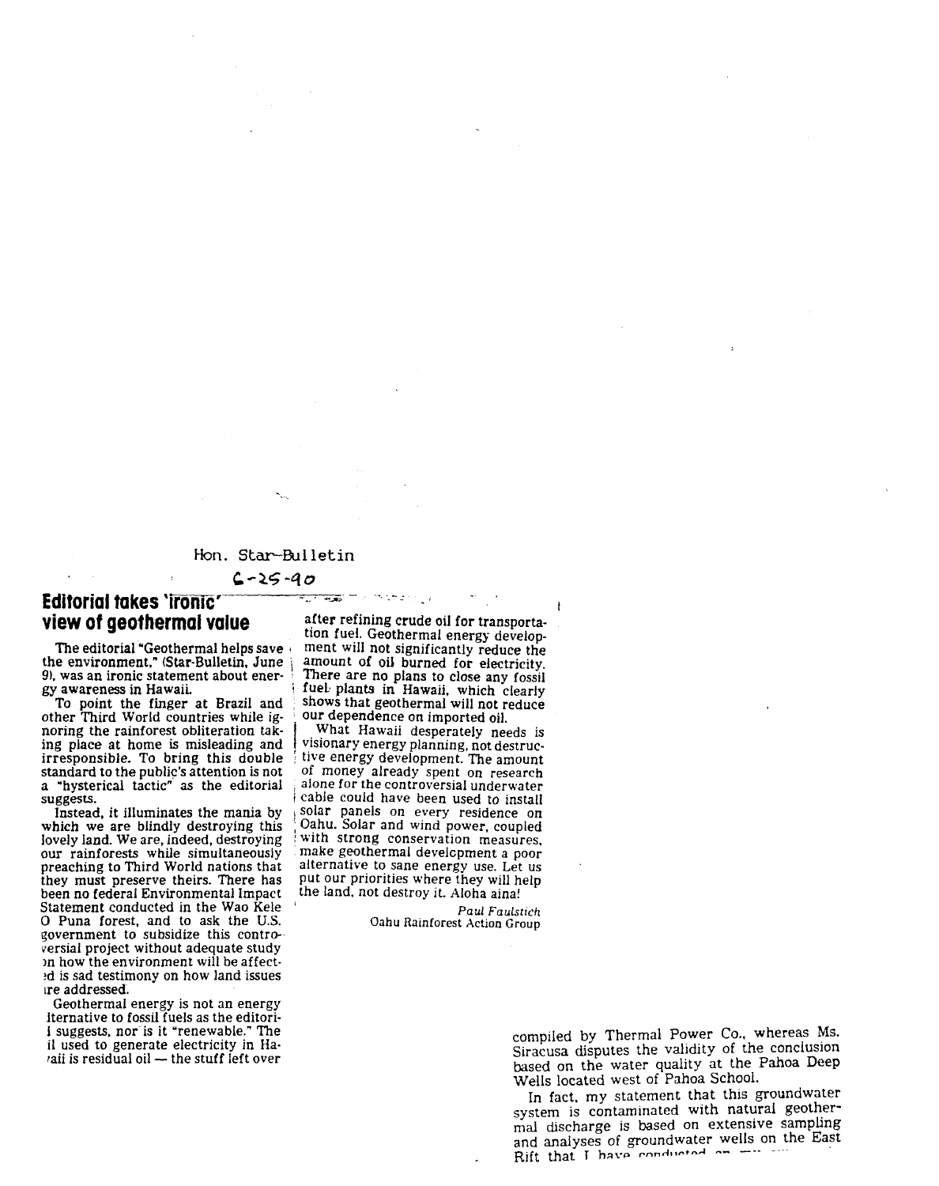#### Hon. Star-Bulletin

#### $6 - 25 - 90$

 $\overline{+1}$ 

## **Editorial takes '1romc'**

other Third World countries while ig-<br>noring the rainforest obliteration taknoring the rainforest obliteration tak-  $\parallel$  . What Hawaii desperately needs is ing place at home is misleading and visionary energy planning, not destrucing place at home is misleading and  $\frac{1}{2}$  visionary energy planning, not destrucirresponsible. To bring this double  $\frac{1}{2}$  tive energy development. The amount standard to the public's attention is not of money already spent on research a "hysterical tactic" as the editorial  $\frac{1}{2}$  alone for the a "hysterical tactic" as the editorial alone for the controversial underwater<br>suggests. <br>cable could have been used to install

which we are blindly destroying this  $\cdot$  Oahu. Solar and wind power, coupled lovely land. We are, indeed, destroying with strong conservation measures, lovely land. We are, indeed, destroying with strong conservation measures, our rainforests while simultaneously make geothermal development a poor preaching to Third World nations that alternative to sane energy use. Let us<br>they must preserve theirs. There has put our priorities where they will help they must preserve theirs. There has<br>been no federal Environmental Impact Statement conducted in the Wao Kele 1*Paul Faulstich*<br>
19 Paul Faulstich **O** Puna forest, and to ask the U.S. **1988** Oahu Rainforest Action Group 0 Puna forest, and to ask the U.S. Oahu Rainforest Action Group government to subsidize this controversial project without adequate study >n how the environment will be affect· !d is sad testimony on how land issues tre addressed.

Geothermal energy is not an energy lternative to fossil fuels as the editori-1 suggests, nor is it "renewable." The il used to generate electricity in Haraii is residual oil - the stuff left over

**view of geothermal value** after refining crude oil for transportation fuel. Geothermal energy develop-The editorial "Geothermal helps save intent will not significantly reduce the the environment," (Star-Bulletin, June intent of oil burned for electricity. the environment," (Star-Bulletin, June \ amount of oil burned for electricity. 91, was an ironic statement about ener· ' There are no plans to close any fossil gy awareness in Hawaii.<br>
To point the finger at Brazil and shows that geothermal will not reduce shows that geothermal will not reduce<br>our dependence on imported oil.

im search ja

irresponsible. To bring this double ; tive energy development. The amount cable could have been used to install Instead, it illuminates the mania by  $\frac{1}{2}$  solar panels on every residence on which we are blindly destroying this  $\frac{1}{2}$  Oahu. Solar and wind power, coupled make geothermal develcpment a poor the land, not destroy it. Aloha aina!

compiled by Thermal Power Co., whereas Ms. Siracusa disputes the validity of the conclusion based on the water quality at the Pahoa Deep Wells located west of Pahoa School.

In fact. my statement that this groundwater system is contaminated with natural geothermal discharge is based on extensive sampling and analyses of groundwater wells on the East<br>Rift that T have conducted on  $\frac{1}{2}$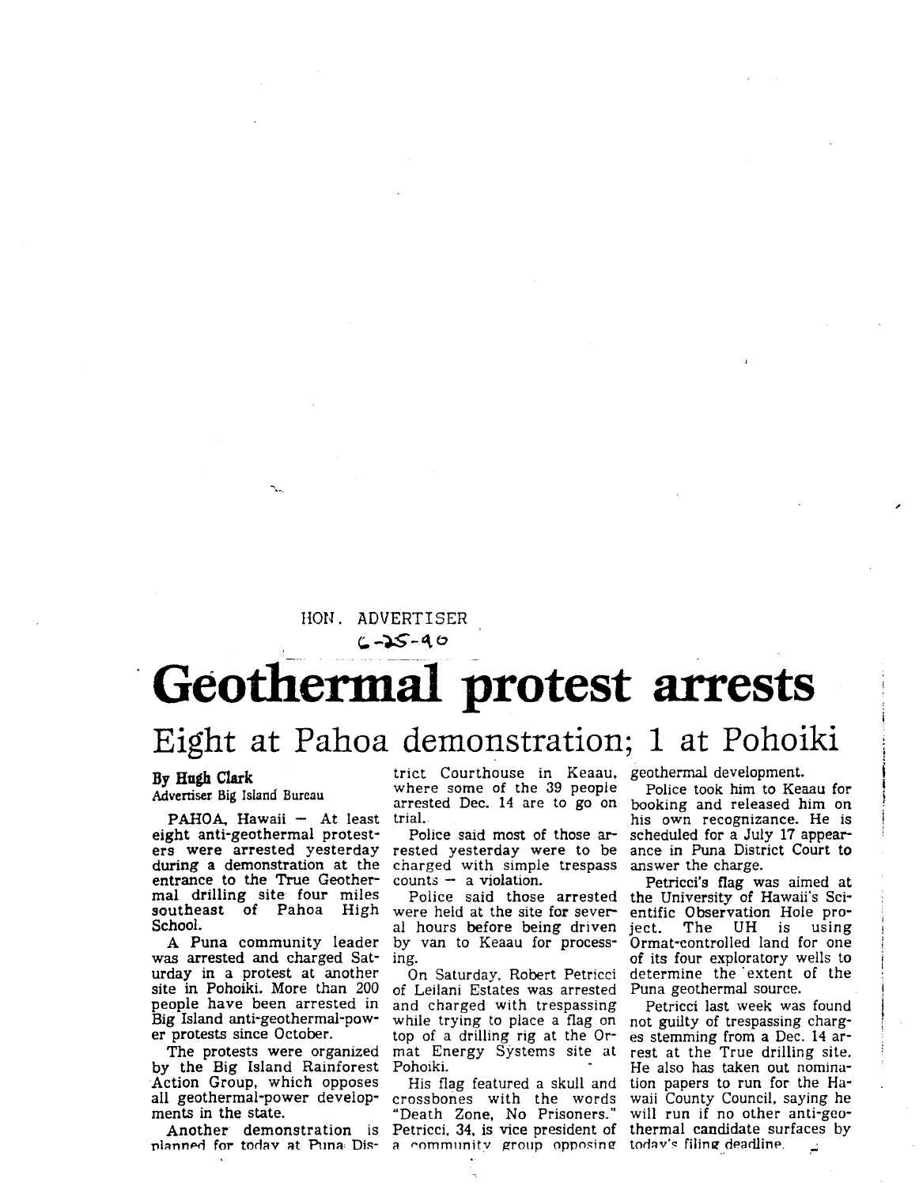### HON. ADVERTISER

 $(1 - 25 - 90)$ 

# Geothermal protest arrests

### **Eight at Pahoa demonstration; 1 at Pohoiki**

**By Hugh Clark**  Advertiser Big Island Bureau

PAHOA, Hawaii - At least eight anti-geothermal protesters were arrested yesterday during a demonstration at the entrance to the True Geothermal drilling site four miles southeast of Pahoa High School.

A Puna community leader was arrested and charged Saturday in a protest at another site in Pohoiki. More than 200 people have been arrested in Big Island anti-geothermal-power protests since October.

The protests were organized by the Big Island Rainforest Action Group, which opposes all geothermal-power developments in the state.

planned for todav at Puna Dis- a community group opposing

trict Courthouse in Keaau, geothermal development. where some of the 39 people arrested Dec. 14 are to go on trial.

Police said most of those arrested yesterday were to be charged with simple trespass  $counts - a violation.$ 

Police said those arrested were held at the site for several hours before being driven by van to Keaau for processing.

On Saturday, Robert Petricci of Leilani Estates was arrested and charged with trespassing while trying to place a flag on top of a drilling rig at the Ormat Energy Systems site at Pohoiki.

His flag featured a skull and crossbones with the words "Death Zone, No Prisoners."

Police took him to Keaau for booking and released him on his own recognizance. He is scheduled for a July 17 appearance in Puna District Court to answer the charge.

Petricci's flag was aimed at the University of Hawaii's Scientific Observation Hole pro-<br>ject. The UH is using ject. The UH is using Ormat-controlled land for one of its four exploratory wells to determine the extent of the Puna geothermal source.

Another demonstration is Petricci, 34, is vice president of thermal candidate surfaces by hanned for today at Puna Dis- a community group opposing today's filing deadline. Petricci last week was found not guilty of trespassing charges stemming from a Dec. 14 arrest at the True drilling site. He also has taken out nomination papers to run for the Hawaii County Council, saying he will run if no other anti-geo-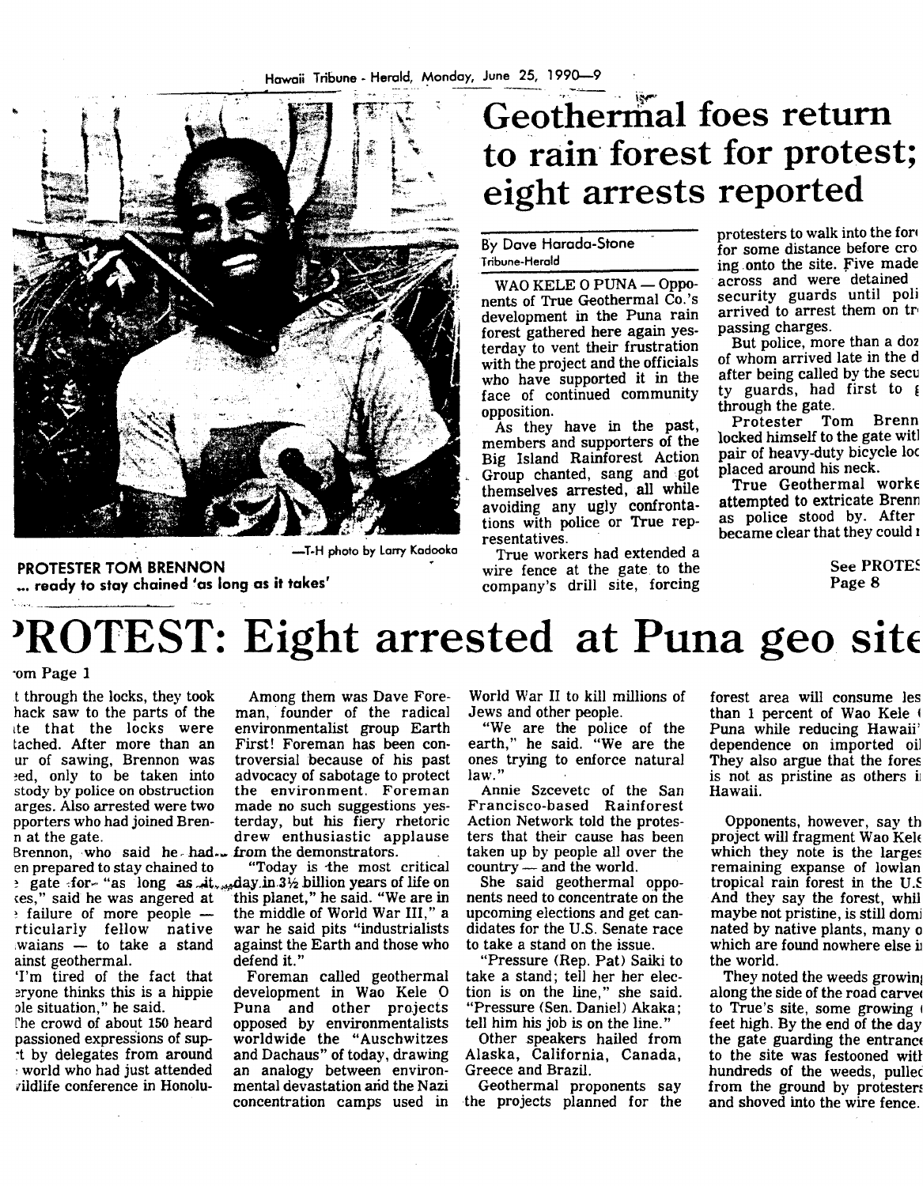

· -T-H photo by Larry Kadooka

**PROTESTER TOM BRENNON** ... **ready to stay chained 'as long as it takes'** 

## Geothermal foes return to rain forest for protest; **eight arrests reported**

By Dove Horodo-Stone Tribune-Herald

WAO KELE O PUNA - Opponents of True Geothermal Co.'s development in the Puna rain forest gathered here again yesterday to vent their frustration with the project and the officials who have supported it in the face of continued community opposition.

As they have in the past, members and supporters of the Big Island Rainforest Action Group chanted, sang and got themselves arrested, all while avoiding any ugly confrontations with police or True representatives.

True workers had extended a wire fence at the gate to the company's drill site, forcing

protesters to walk into the for4 for some distance before cro ing onto the site. five made across and were detained security guards until poli arrived to arrest them on tro passing charges.

But police, more than a d02 of whom arrived late in the d after being called by the secu  $ty$  guards, had first to  $\epsilon$ through the gate.<br>Protester To

Tom Brenn locked himself to the gate witl pair of heavy-duty bicycle loc placed around his neck.

True Geothermal worke attempted to extricate Brenn as police stood by. After became clear that they could <sup>1</sup>

> **See PROTES** Page 8

## **PROTEST: Eight arrested at Puna geo site**

#### ·om Page 1

Brennon, who said hethad.<br>In prepared to stay chained to ainst geothermal. defend it.'<br>'I'm tired of the fact that Forema

t through the locks, they took Among them was Dave Forehack saw to the parts of the man, founder of the radical the that the locks were environmentalist group Earth ite that the locks were environmentalist group Earth tached. After more than an First! Foreman has been con-First! Foreman has been con-<br>troversial because of his past ur of sawing, Brennon was troversial because of his past ~ed, only to be taken into advocacy of sabotage to protect stody by police on obstruction the environment. Foreman stody by police on obstruction the environment. Foreman arges. Also arrested were two made no such suggestions yes-<br>pporters who had joined Bren- terday, but his fiery rhetoric terday, but his fiery rhetoric n at the gate. drew enthusiastic applause<br>Brennon, who said he had. from the demonstrators.

"Today is the most critical  $\frac{1}{2}$  gate -for- "as long as  $\frac{1}{2}$ ,  $\frac{1}{2}$ ,  $\frac{1}{2}$  billion years of life on  $\cos$ ," said he was angered at "this planet," he said. "We are in  $tes$ ," said he was angered at "this planet," he said. "We are in  $\frac{1}{2}$  failure of more people — the middle of World War III," a the middle of World War III," a<br>war he said pits "industrialists rticularly fellow native war he said pits "industrialists waians  $-$  to take a stand against the Earth and those who

'I'm tired of the fact that Foreman called geothermal<br>eryone thinks this is a hippie development in Wao Kele O explore thinks this is a hippie development in Wao Kele O<br>ole situation," he said. Puna and other projects ole situation," he said. Puna and other projects<br>The crowd of about 150 heard opposed by environmentalists The crowd of about 150 heard opposed by environmentalists passioned expressions of sup-<br>worldwide the "Auschwitzes" passioned expressions of sup-<br>t by delegates from around and Dachaus" of today, drawing It by delegates from around and Dachaus" of today, drawing<br>world who had just attended an analogy between environ-: world who had just attended an analogy between environ-<br>vildlife conference in Honolu- mental devastation and the Nazi mental devastation and the Nazi concentration camps used in World War II to kill millions of Jews and other people.

"We are the police of the earth," he said. "We are the ones trying to enforce natural law."

Annie Szcevetc of the San Francisco-based Rainforest Action Network told the protesters that their cause has been taken up by people all over the country - and the world.

She said geothermal opponents need to concentrate on the upcoming elections and get candidates for the U.S. Senate race to take a stand on the issue.

"Pressure (Rep. Pat) Saiki to take a stand; tell her her election is on the line," she said. "Pressure (Sen. Daniel) Akaka; tell him his job is on the line."

Other speakers hailed from Alaska, California, Canada, Greece and Brazil.

Geothermal proponents say the projects planned for the forest area will consume les than 1 percent of Wao Kele Puna while reducing Hawaii' dependence on imported oil They also argue that the fores is not as pristine as others i Hawaii.

Opponents, however, say th project will fragment Wao Kel which they note is the large: remaining expanse of lowlan tropical rain forest in the  $U$ . And they say the forest, whil maybe not pristine, is still dom] nated by native plants, many o which are found nowhere else i the world.

They noted the weeds growin along the side of the road carve to True's site, some growing 1 feet high. By the end of the day the gate guarding the entranc to the site was festooned wit hundreds of the weeds, pulle from the ground by protester and shoved into the wire fence.